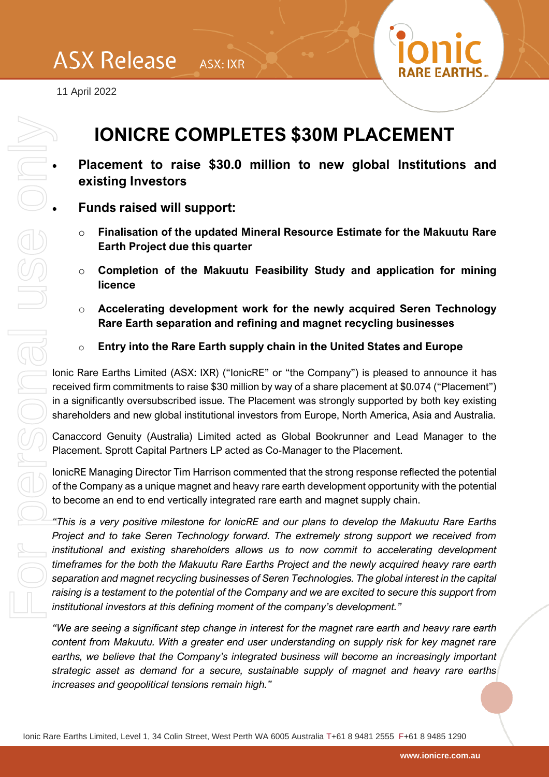

11 April 2022

## **IONICRE COMPLETES \$30M PLACEMENT**

• **Placement to raise \$30.0 million to new global Institutions and existing Investors**

• **Funds raised will support:**

- o **Finalisation of the updated Mineral Resource Estimate for the Makuutu Rare Earth Project due this quarter**
- o **Completion of the Makuutu Feasibility Study and application for mining licence**
- o **Accelerating development work for the newly acquired Seren Technology Rare Earth separation and refining and magnet recycling businesses**
- o **Entry into the Rare Earth supply chain in the United States and Europe**

Ionic Rare Earths Limited (ASX: IXR) ("IonicRE" or "the Company") is pleased to announce it has received firm commitments to raise \$30 million by way of a share placement at \$0.074 ("Placement") in a significantly oversubscribed issue. The Placement was strongly supported by both key existing shareholders and new global institutional investors from Europe, North America, Asia and Australia.

Canaccord Genuity (Australia) Limited acted as Global Bookrunner and Lead Manager to the Placement. Sprott Capital Partners LP acted as Co-Manager to the Placement.

IonicRE Managing Director Tim Harrison commented that the strong response reflected the potential of the Company as a unique magnet and heavy rare earth development opportunity with the potential to become an end to end vertically integrated rare earth and magnet supply chain.

*"This is a very positive milestone for IonicRE and our plans to develop the Makuutu Rare Earths Project and to take Seren Technology forward. The extremely strong support we received from*  institutional and existing shareholders allows us to now commit to accelerating development *timeframes for the both the Makuutu Rare Earths Project and the newly acquired heavy rare earth separation and magnet recycling businesses of Seren Technologies. The global interest in the capital raising is a testament to the potential of the Company and we are excited to secure this support from institutional investors at this defining moment of the company's development."*

*"We are seeing a significant step change in interest for the magnet rare earth and heavy rare earth content from Makuutu. With a greater end user understanding on supply risk for key magnet rare earths, we believe that the Company's integrated business will become an increasingly important strategic asset as demand for a secure, sustainable supply of magnet and heavy rare earths*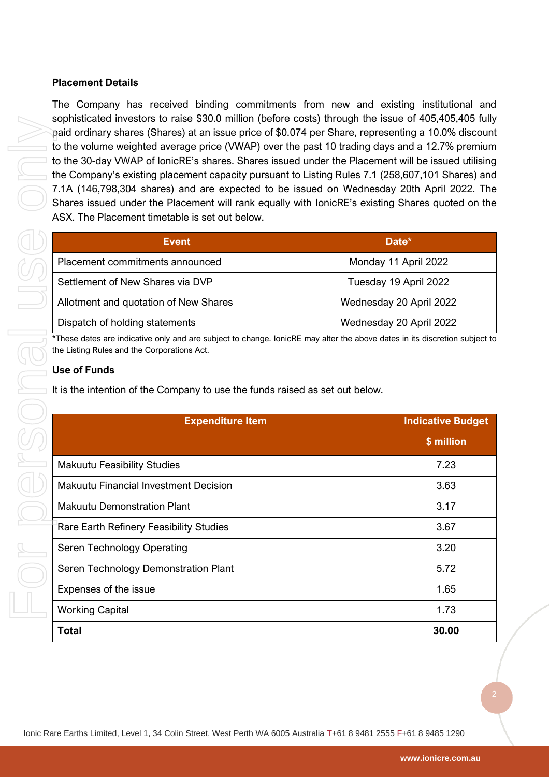## **Placement Details**

The Company has received binding commitments from new and existing institutional and sophisticated investors to raise \$30.0 million (before costs) through the issue of 405,405,405 fully paid ordinary shares (Shares) at an issue price of \$0.074 per Share, representing a 10.0% discount to the volume weighted average price (VWAP) over the past 10 trading days and a 12.7% premium to the 30-day VWAP of IonicRE's shares. Shares issued under the Placement will be issued utilising the Company's existing placement capacity pursuant to Listing Rules 7.1 (258,607,101 Shares) and 7.1A (146,798,304 shares) and are expected to be issued on Wednesday 20th April 2022. The Shares issued under the Placement will rank equally with IonicRE's existing Shares quoted on the ASX. The Placement timetable is set out below.

| <b>Event</b>                          | Date*                   |
|---------------------------------------|-------------------------|
| Placement commitments announced       | Monday 11 April 2022    |
| Settlement of New Shares via DVP      | Tuesday 19 April 2022   |
| Allotment and quotation of New Shares | Wednesday 20 April 2022 |
| Dispatch of holding statements        | Wednesday 20 April 2022 |

## **Use of Funds**

| to the volume weighted average price (VWAP) over the past 10 trading days and a 12.7% premium<br>to the 30-day VWAP of lonicRE's shares. Shares issued under the Placement will be issued utilising<br>the Company's existing placement capacity pursuant to Listing Rules 7.1 (258,607,101 Shares) and<br>7.1A (146,798,304 shares) and are expected to be issued on Wednesday 20th April 2022. The<br>Shares issued under the Placement will rank equally with lonicRE's existing Shares quoted on the<br>ASX. The Placement timetable is set out below. |                         | paid ordinary shares (Shares) at an issue price of \$0.074 per Share, representing a 10.0% discount |                          |
|------------------------------------------------------------------------------------------------------------------------------------------------------------------------------------------------------------------------------------------------------------------------------------------------------------------------------------------------------------------------------------------------------------------------------------------------------------------------------------------------------------------------------------------------------------|-------------------------|-----------------------------------------------------------------------------------------------------|--------------------------|
| <b>Event</b>                                                                                                                                                                                                                                                                                                                                                                                                                                                                                                                                               |                         | Date*                                                                                               |                          |
| Placement commitments announced                                                                                                                                                                                                                                                                                                                                                                                                                                                                                                                            |                         | Monday 11 April 2022                                                                                |                          |
| Settlement of New Shares via DVP                                                                                                                                                                                                                                                                                                                                                                                                                                                                                                                           |                         | Tuesday 19 April 2022                                                                               |                          |
| Allotment and quotation of New Shares                                                                                                                                                                                                                                                                                                                                                                                                                                                                                                                      |                         | Wednesday 20 April 2022                                                                             |                          |
| Dispatch of holding statements                                                                                                                                                                                                                                                                                                                                                                                                                                                                                                                             |                         | Wednesday 20 April 2022                                                                             |                          |
| It is the intention of the Company to use the funds raised as set out below.                                                                                                                                                                                                                                                                                                                                                                                                                                                                               |                         |                                                                                                     |                          |
|                                                                                                                                                                                                                                                                                                                                                                                                                                                                                                                                                            | <b>Expenditure Item</b> |                                                                                                     | <b>Indicative Budget</b> |
|                                                                                                                                                                                                                                                                                                                                                                                                                                                                                                                                                            |                         |                                                                                                     | \$ million               |
| <b>Makuutu Feasibility Studies</b>                                                                                                                                                                                                                                                                                                                                                                                                                                                                                                                         |                         |                                                                                                     | 7.23                     |
| <b>Makuutu Financial Investment Decision</b>                                                                                                                                                                                                                                                                                                                                                                                                                                                                                                               |                         |                                                                                                     | 3.63                     |
| <b>Makuutu Demonstration Plant</b>                                                                                                                                                                                                                                                                                                                                                                                                                                                                                                                         |                         |                                                                                                     | 3.17                     |
| Rare Earth Refinery Feasibility Studies                                                                                                                                                                                                                                                                                                                                                                                                                                                                                                                    |                         |                                                                                                     | 3.67                     |
| Seren Technology Operating                                                                                                                                                                                                                                                                                                                                                                                                                                                                                                                                 |                         |                                                                                                     | 3.20                     |
| Seren Technology Demonstration Plant                                                                                                                                                                                                                                                                                                                                                                                                                                                                                                                       |                         |                                                                                                     | 5.72                     |
| Expenses of the issue                                                                                                                                                                                                                                                                                                                                                                                                                                                                                                                                      |                         |                                                                                                     | 1.65                     |
| <b>Working Capital</b>                                                                                                                                                                                                                                                                                                                                                                                                                                                                                                                                     |                         |                                                                                                     | 1.73                     |